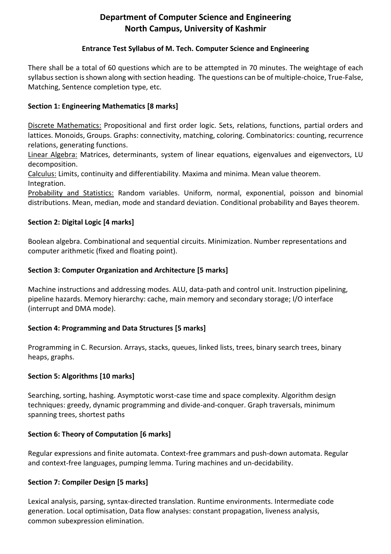# **Department of Computer Science and Engineering North Campus, University of Kashmir**

#### **Entrance Test Syllabus of M. Tech. Computer Science and Engineering**

There shall be a total of 60 questions which are to be attempted in 70 minutes. The weightage of each syllabus section is shown along with section heading. The questions can be of multiple-choice, True-False, Matching, Sentence completion type, etc.

# **Section 1: Engineering Mathematics [8 marks]**

Discrete Mathematics: Propositional and first order logic. Sets, relations, functions, partial orders and lattices. Monoids, Groups. Graphs: connectivity, matching, coloring. Combinatorics: counting, recurrence relations, generating functions.

Linear Algebra: Matrices, determinants, system of linear equations, eigenvalues and eigenvectors, LU decomposition.

Calculus: Limits, continuity and differentiability. Maxima and minima. Mean value theorem. Integration.

Probability and Statistics: Random variables. Uniform, normal, exponential, poisson and binomial distributions. Mean, median, mode and standard deviation. Conditional probability and Bayes theorem.

#### **Section 2: Digital Logic [4 marks]**

Boolean algebra. Combinational and sequential circuits. Minimization. Number representations and computer arithmetic (fixed and floating point).

#### **Section 3: Computer Organization and Architecture [5 marks]**

Machine instructions and addressing modes. ALU, data-path and control unit. Instruction pipelining, pipeline hazards. Memory hierarchy: cache, main memory and secondary storage; I/O interface (interrupt and DMA mode).

#### **Section 4: Programming and Data Structures [5 marks]**

Programming in C. Recursion. Arrays, stacks, queues, linked lists, trees, binary search trees, binary heaps, graphs.

#### **Section 5: Algorithms [10 marks]**

Searching, sorting, hashing. Asymptotic worst-case time and space complexity. Algorithm design techniques: greedy, dynamic programming and divide-and-conquer. Graph traversals, minimum spanning trees, shortest paths

#### **Section 6: Theory of Computation [6 marks]**

Regular expressions and finite automata. Context-free grammars and push-down automata. Regular and context-free languages, pumping lemma. Turing machines and un-decidability.

#### **Section 7: Compiler Design [5 marks]**

Lexical analysis, parsing, syntax-directed translation. Runtime environments. Intermediate code generation. Local optimisation, Data flow analyses: constant propagation, liveness analysis, common subexpression elimination.